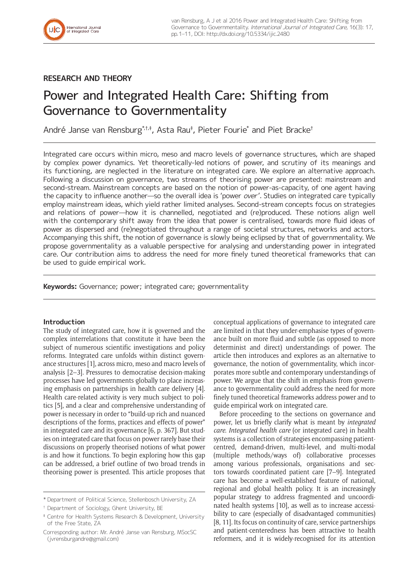## **RESEARCH AND THEORY**

# Power and Integrated Health Care: Shifting from Governance to Governmentality

André Janse van Rensburg\* $^{\dagger,\dagger,\dagger}$ , Asta Rau $^{\dagger}$ , Pieter Fourie $^{\ast}$  and Piet Bracke $^{\dagger}$ 

Integrated care occurs within micro, meso and macro levels of governance structures, which are shaped by complex power dynamics. Yet theoretically-led notions of power, and scrutiny of its meanings and its functioning, are neglected in the literature on integrated care. We explore an alternative approach. Following a discussion on governance, two streams of theorising power are presented: mainstream and second-stream. Mainstream concepts are based on the notion of power-as-capacity, of one agent having the capacity to influence another—so the overall idea is 'power *over'*. Studies on integrated care typically employ mainstream ideas, which yield rather limited analyses. Second-stream concepts focus on strategies and relations of power—how it is channelled, negotiated and (re)produced. These notions align well with the contemporary shift away from the idea that power is centralised, towards more fluid ideas of power as dispersed and (re)negotiated throughout a range of societal structures, networks and actors. Accompanying this shift, the notion of governance is slowly being eclipsed by that of governmentality. We propose governmentality as a valuable perspective for analysing and understanding power in integrated care. Our contribution aims to address the need for more finely tuned theoretical frameworks that can be used to guide empirical work.

**Keywords:** Governance; power; integrated care; governmentality

## **Introduction**

The study of integrated care, how it is governed and the complex interrelations that constitute it have been the subject of numerous scientific investigations and policy reforms. Integrated care unfolds within distinct governance structures [1], across micro, meso and macro levels of analysis [2–3]. Pressures to democratise decision-making processes have led governments globally to place increasing emphasis on partnerships in health care delivery [4]. Health care-related activity is very much subject to politics [5], and a clear and comprehensive understanding of power is necessary in order to "build-up rich and nuanced descriptions of the forms, practices and effects of power" in integrated care and its governance [6, p. 367]. But studies on integrated care that focus on power rarely base their discussions on properly theorised notions of what power is and how it functions. To begin exploring how this gap can be addressed, a brief outline of two broad trends in theorising power is presented. This article proposes that

conceptual applications of governance to integrated care are limited in that they under-emphasise types of governance built on more fluid and subtle (as opposed to more determinist and direct) understandings of power. The article then introduces and explores as an alternative to governance, the notion of governmentality, which incorporates more subtle and contemporary understandings of power. We argue that the shift in emphasis from governance to governmentality could address the need for more finely tuned theoretical frameworks address power and to guide empirical work on integrated care.

Before proceeding to the sections on governance and power, let us briefly clarify what is meant by *integrated care*. *Integrated health care* (or integrated care) in health systems is a collection of strategies encompassing patientcentred, demand-driven, multi-level, and multi-modal (multiple methods/ways of) collaborative processes among various professionals, organisations and sectors towards coordinated patient care [7–9]. Integrated care has become a well-established feature of national, regional and global health policy. It is an increasingly popular strategy to address fragmented and uncoordinated health systems [10], as well as to increase accessibility to care (especially of disadvantaged communities) [8, 11]. Its focus on continuity of care, service partnerships and patient-centeredness has been attractive to health reformers, and it is widely-recognised for its attention

<sup>\*</sup> Department of Political Science, Stellenbosch University, ZA

<sup>†</sup> Department of Sociology, Ghent University, BE

<sup>‡</sup> Centre for Health Systems Research & Development, University of the Free State, ZA

Corresponding author: Mr. André Janse van Rensburg, MSocSC ([jvrensburgandre@gmail.com](mailto:jvrensburgandre@gmail.com))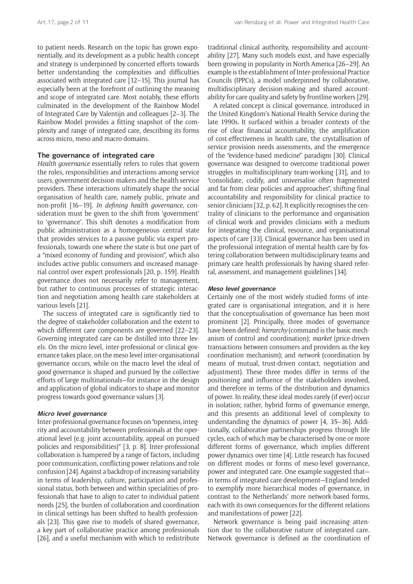to patient needs. Research on the topic has grown exponentially, and its development as a public health concept and strategy is underpinned by concerted efforts towards better understanding the complexities and difficulties associated with integrated care [12–15]. This journal has especially been at the forefront of outlining the meaning and scope of integrated care. Most notably, these efforts culminated in the development of the Rainbow Model of Integrated Care by Valentijn and colleagues [2–3]. The Rainbow Model provides a fitting snapshot of the complexity and range of integrated care, describing its forms across micro, meso and macro domains.

## **The governance of integrated care**

*Health governance* essentially refers to rules that govern the roles, responsibilities and interactions among service users, government decision-makers and the health service providers. These interactions ultimately shape the social organisation of health care, namely public, private and non-profit [16–19]. *In defining health governance*, consideration must be given to the shift from 'government' to 'governance'. This shift denotes a modification from public administration as a homogeneous central state that provides services to a passive public via expert professionals, towards one where the state is but one part of a "mixed economy of funding and provision", which also includes active public consumers and increased managerial control over expert professionals [20, p. 159]. Health governance does not necessarily refer to management, but rather to continuous processes of strategic interaction and negotiation among health care stakeholders at various levels [21].

The success of integrated care is significantly tied to the degree of stakeholder collaboration and the extent to which different care components are governed [22–23]. Governing integrated care can be distilled into three levels. On the micro level, inter-professional or clinical governance takes place, on the meso level inter-organisational governance occurs, while on the macro level the ideal of *good* governance is shaped and pursued by the collective efforts of large multinationals—for instance in the design and application of global indicators to shape and monitor progress towards good governance values [3].

## **Micro level governance**

Inter-professional governance focuses on "openness, integrity and accountability between professionals at the operational level (e.g. joint accountability, appeal on pursued policies and responsibilities)" [3, p. 8]. Inter-professional collaboration is hampered by a range of factors, including poor communication, conflicting power relations and role confusion [24]. Against a backdrop of increasing variability in terms of leadership, culture, participation and professional status, both between and within specialities of professionals that have to align to cater to individual patient needs [25], the burden of collaboration and coordination in clinical settings has been shifted to health professionals [23]. This gave rise to models of shared governance, a key part of collaborative practice among professionals [26], and a useful mechanism with which to redistribute

traditional clinical authority, responsibility and accountability [27]. Many such models exist, and have especially been growing in popularity in North America [26–29]. An example is the establishment of Inter-professional Practice Councils (IPPCs), a model underpinned by collaborative, multidisciplinary decision-making and shared accountability for care quality and safety by frontline workers [29].

A related concept is clinical governance, introduced in the United Kingdom's National Health Service during the late 1990s. It surfaced within a broader contexts of the rise of clear financial accountability, the amplification of cost-effectiveness in health care, the crystallisation of service provision needs assessments, and the emergence of the "evidence-based medicine" paradigm [30]. Clinical governance was designed to overcome traditional power struggles in multidisciplinary team-working [31], and to "consolidate, codify, and universalise often fragmented and far from clear policies and approaches", shifting final accountability and responsibility for clinical practice to senior clinicians [32, p. 62]. It explicitly recognises the centrality of clinicians to the performance and organisation of clinical work and provides clinicians with a medium for integrating the clinical, resource, and organisational aspects of care [33]. Clinical governance has been used in the professional integration of mental health care by fostering collaboration between multidisciplinary teams and primary care health professionals by having shared referral, assessment, and management guidelines [34].

#### **Meso level governance**

Certainly one of the most widely studied forms of integrated care is organisational integration, and it is here that the conceptualisation of governance has been most prominent [2]. Principally, three modes of governance have been defined: *hierarchy* (command is the basic mechanism of control and coordination); *market* (price-driven transactions between consumers and providers as the key coordination mechanism); and *network* (coordination by means of mutual, trust-driven contact, negotiation and adjustment). These three modes differ in terms of the positioning and influence of the stakeholders involved, and therefore in terms of the distribution and dynamics of power. In reality, these ideal modes rarely (if ever) occur in isolation; rather, hybrid forms of governance emerge, and this presents an additional level of complexity to understanding the dynamics of power [4, 35–36]. Additionally, collaborative partnerships progress through life cycles, each of which may be characterised by one or more different forms of governance, which implies different power dynamics over time [4]. Little research has focused on different modes or forms of meso-level governance, power and integrated care. One example suggested that in terms of integrated care development—England tended to exemplify more hierarchical modes of governance, in contrast to the Netherlands' more network-based forms, each with its own consequences for the different relations and manifestations of power [22].

Network governance is being paid increasing attention due to the collaborative nature of integrated care. Network governance is defined as the coordination of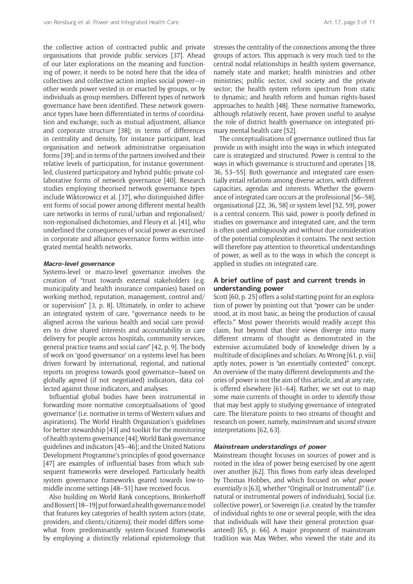the collective action of contracted public and private organisations that provide public services [37]. Ahead of our later explorations on the meaning and functioning of power, it needs to be noted here that the idea of collectives and collective action implies social power—in other words power vested in or enacted by groups, or by individuals as group members. Different types of network governance have been identified. These network governance types have been differentiated in terms of coordination and exchange, such as mutual adjustment, alliance and corporate structure [38]; in terms of differences in centrality and density, for instance participant, lead organisation and network administrative organisation forms [39]; and in terms of the partners involved and their relative levels of participation, for instance governmentled, clustered participatory and hybrid public-private collaborative forms of network governance [40]. Research studies employing theorised network governance types include Wiktorowicz et al. [37], who distinguished different forms of social power among different mental health care networks in terms of rural/urban and regionalised/ non-regionalised dichotomies, and Fleury et al. [41], who underlined the consequences of social power as exercised in corporate and alliance governance forms within integrated mental health networks.

#### **Macro-level governance**

Systems-level or macro-level governance involves the creation of "trust towards external stakeholders (e.g. municipality and health insurance companies) based on working method, reputation, management, control and/ or supervision" [3, p. 8]. Ultimately, in order to achieve an integrated system of care, "governance needs to be aligned across the various health and social care providers to drive shared interests and accountability in care delivery for people across hospitals, community services, general practice teams and social care" [42, p. 9]. The body of work on 'good governance' on a systems level has been driven forward by international, regional, and national reports on progress towards good governance—based on globally agreed (if not negotiated) indicators, data collected against those indicators, and analyses.

Influential global bodies have been instrumental in forwarding more normative conceptualisations of 'good governance' (i.e. normative in terms of Western values and aspirations). The World Health Organization's guidelines for better stewardship [43] and toolkit for the monitoring of health systems governance [44]; World Bank governance guidelines and indicators [45–46]; and the United Nations Development Programme's principles of good governance [47] are examples of influential bases from which subsequent frameworks were developed. Particularly health system governance frameworks geared towards low-tomiddle income settings [48–51] have received focus.

Also building on World Bank conceptions, Brinkerhoff and Bossert [18–19] put forward a health governance model that features key categories of health system actors (state, providers, and clients/citizens); their model differs somewhat from predominantly system-focused frameworks by employing a distinctly relational epistemology that

stresses the centrality of the connections among the three groups of actors. This approach is very much tied to the central nodal relationships in health system governance, namely state and market; health ministries and other ministries; public sector, civil society and the private sector; the health system reform spectrum from static to dynamic; and health reform and human rights-based approaches to health [48]. These normative frameworks, although relatively recent, have proven useful to analyse the role of district health governance on integrated primary mental health care [52].

The conceptualisations of governance outlined thus far provide us with insight into the ways in which integrated care is strategized and structured. Power is central to the ways in which governance is structured and operates [18, 36, 53–55]. Both governance and integrated care essentially entail relations among diverse actors, with different capacities, agendas and interests. Whether the governance of integrated care occurs at the professional [56–58], organisational [22, 36, 58] or system level [52, 59], power is a central concern. This said, power is poorly defined in studies on governance and integrated care, and the term is often used ambiguously and without due consideration of the potential complexities it contains. The next section will therefore pay attention to theoretical understandings of power, as well as to the ways in which the concept is applied in studies on integrated care.

## **A brief outline of past and current trends in understanding power**

Scott [60, p. 25] offers a solid starting point for an exploration of power by pointing out that "power can be understood, at its most basic, as being the production of causal effects." Most power theorists would readily accept this claim, but beyond that their views diverge into many different streams of thought as demonstrated in the extensive accumulated body of knowledge driven by a multitude of disciplines and scholars. As Wrong [61, p. viii] aptly notes, power is "an essentially contested" concept. An overview of the many different developments and theories of power is not the aim of this article, and at any rate, is offered elsewhere [61–64]. Rather, we set out to map some *main* currents of thought in order to identify those that may best apply to studying governance of integrated care. The literature points to two streams of thought and research on power, namely, *mainstream* and *second stream* interpretations [62, 63].

#### **Mainstream understandings of power**

Mainstream thought focuses on sources of power and is rooted in the idea of power being exercised by one agent over another [62]. This flows from early ideas developed by Thomas Hobbes, and which focused on *what power essentially is* [63], whether "Originall or Instrumentall" (i.e. natural or instrumental powers of individuals), Social (i.e. collective power), or Sovereign (i.e. created by the transfer of individual rights to one or several people, with the idea that individuals will have their general protection guaranteed) [65, p. 66]. A major proponent of mainstream tradition was Max Weber, who viewed the state and its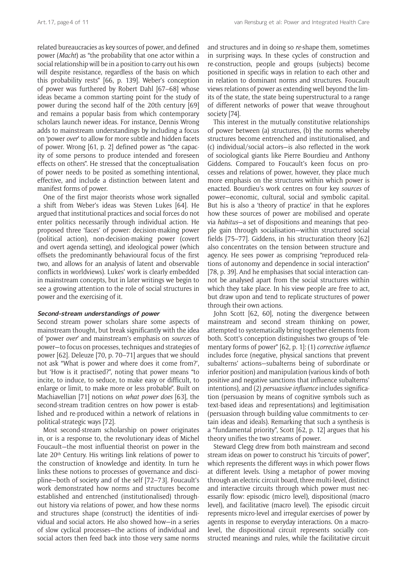related bureaucracies as key sources of power, and defined power (*Macht*) as "the probability that one actor within a social relationship will be in a position to carry out his own will despite resistance, regardless of the basis on which this probability rests" [66, p. 139]. Weber's conception of power was furthered by Robert Dahl [67–68] whose ideas became a common starting point for the study of power during the second half of the 20th century [69] and remains a popular basis from which contemporary scholars launch newer ideas. For instance, Dennis Wrong adds to mainstream understandings by including a focus on 'power *over*' to allow for more subtle and hidden facets of power. Wrong [61, p. 2] defined power as "the capacity of some persons to produce intended and foreseen effects on others". He stressed that the conceptualisation of power needs to be posited as something intentional, effective, and include a distinction between latent and manifest forms of power.

One of the first major theorists whose work signalled a shift from Weber's ideas was Steven Lukes [64]. He argued that institutional practices and social forces do not enter politics necessarily through individual action. He proposed three 'faces' of power: decision-making power (political action), non-decision-making power (covert and overt agenda setting), and ideological power (which offsets the predominantly behavioural focus of the first two, and allows for an analysis of latent and observable conflicts in worldviews). Lukes' work is clearly embedded in mainstream concepts, but in later writings we begin to see a growing attention to the role of social structures in power and the exercising of it.

## **Second-stream understandings of power**

Second stream power scholars share some aspects of mainstream thought, but break significantly with the idea of 'power *over*' and mainstream's emphasis on *sources* of power—to focus on processes, techniques and strategies of power [62]. Deleuze [70, p. 70–71] argues that we should not ask "What is power and where does it come from?', but 'How is it practised?", noting that power means "to incite, to induce, to seduce, to make easy or difficult, to enlarge or limit, to make more or less probable". Built on Machiavellian [71] notions on *what power does* [63], the second-stream tradition centres on how power is established and re-produced within a network of relations in political-strategic ways [72].

Most second-stream scholarship on power originates in, or is a response to, the revolutionary ideas of Michel Foucault—the most influential theorist on power in the late 20<sup>th</sup> Century. His writings link relations of power to the construction of knowledge and identity. In turn he links these notions to processes of governance and discipline—both of society and of the self [72–73]. Foucault's work demonstrated how norms and structures become established and entrenched (institutionalised) throughout history via relations of power, and how these norms and structures shape (construct) the identities of individual and social actors. He also showed how—in a series of slow cyclical processes—the actions of individual and social actors then feed back into those very same norms

and structures and in doing so *re-*shape them, sometimes in surprising ways. In these cycles of construction and re-construction, people and groups (subjects) become positioned in specific ways in relation to each other and in relation to dominant norms and structures. Foucault views relations of power as extending well beyond the limits of the state, the state being superstructural to a range of different networks of power that weave throughout society [74].

This interest in the mutually constitutive relationships of power between (a) structures, (b) the norms whereby structures become entrenched and institutionalised, and (c) individual/social actors—is also reflected in the work of sociological giants like Pierre Bourdieu and Anthony Giddens. Compared to Foucault's keen focus on processes and relations of power, however, they place much more emphasis on the structures within which power is enacted. Bourdieu's work centres on four key *sources* of power—economic, cultural, social and symbolic capital. But his is also a 'theory of practice' in that he explores how these sources of power are mobilised and operate via *habitus*—a set of dispositions and meanings that people gain through socialisation—within structured social fields [75–77]. Giddens, in his structuration theory [62] also concentrates on the tension between structure and agency. He sees power as comprising "reproduced relations of autonomy and dependence in social interaction" [78, p. 39]. And he emphasises that social interaction cannot be analysed apart from the social structures within which they take place. In his view people are free to act, but draw upon and tend to replicate structures of power through their own actions.

John Scott [62, 60], noting the divergence between mainstream and second stream thinking on power, attempted to systematically bring together elements from both. Scott's conception distinguishes two groups of "elementary forms of power" [62, p. 1]: (1) *corrective influence* includes force (negative, physical sanctions that prevent subalterns' actions—subalterns being of subordinate or inferior position) and manipulation (various kinds of both positive and negative sanctions that influence subalterns' intentions), and (2) *persuasive influence* includes signification (persuasion by means of cognitive symbols such as text-based ideas and representations) and legitimisation (persuasion through building value commitments to certain ideas and ideals). Remarking that such a synthesis is a "fundamental priority", Scott [62, p. 12] argues that his theory unifies the two streams of power.

Steward Clegg drew from both mainstream and second stream ideas on power to construct his "circuits of power", which represents the different ways in which power flows at different levels. Using a metaphor of power moving through an electric circuit board, three multi-level, distinct and interactive circuits through which power must necessarily flow: episodic (micro level), dispositional (macro level), and facilitative (macro level). The episodic circuit represents micro-level and irregular exercises of power by agents in response to everyday interactions. On a macrolevel, the dispositional circuit represents socially constructed meanings and rules, while the facilitative circuit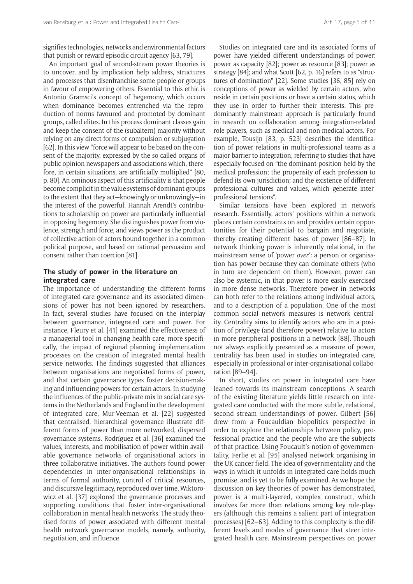signifies technologies, networks and environmental factors that punish or reward episodic circuit agency [63, 79].

An important goal of second-stream power theories is to uncover, and by implication help address, structures and processes that disenfranchise some people or groups in favour of empowering others. Essential to this ethic is Antonio Gramsci's concept of hegemony, which occurs when dominance becomes entrenched via the reproduction of norms favoured and promoted by dominant groups, called elites. In this process dominant classes gain and keep the consent of the (subaltern) majority without relying on any direct forms of compulsion or subjugation [62]. In this view "force will appear to be based on the consent of the majority, expressed by the so-called organs of public opinion newspapers and associations which, therefore, in certain situations, are artificially multiplied" [80, p. 80]. An ominous aspect of this artificiality is that people become complicit in the value systems of dominant groups to the extent that they act—knowingly or unknowingly—in the interest of the powerful. Hannah Arendt's contributions to scholarship on power are particularly influential in opposing hegemony. She distinguishes power from violence, strength and force, and views power as the product of collective action of actors bound together in a common political purpose, and based on rational persuasion and consent rather than coercion [81].

## **The study of power in the literature on integrated care**

The importance of understanding the different forms of integrated care governance and its associated dimensions of power has not been ignored by researchers. In fact, several studies have focused on the interplay between governance, integrated care and power. For instance, Fleury et al. [41] examined the effectiveness of a managerial tool in changing health care, more specifically, the impact of regional planning implementation processes on the creation of integrated mental health service networks. The findings suggested that alliances between organisations are negotiated forms of power, and that certain governance types foster decision-making and influencing powers for certain actors. In studying the influences of the public-private mix in social care systems in the Netherlands and England in the development of integrated care, Mur-Veeman et al. [22] suggested that centralised, hierarchical governance illustrate different forms of power than more networked, dispersed governance systems. Rodríguez et al. [36] examined the values, interests, and mobilisation of power within available governance networks of organisational actors in three collaborative initiatives. The authors found power dependencies in inter-organisational relationships in terms of formal authority, control of critical resources, and discursive legitimacy, reproduced over time. Wiktorowicz et al. [37] explored the governance processes and supporting conditions that foster inter-organisational collaboration in mental health networks. The study theorised forms of power associated with different mental health network governance models, namely, authority, negotiation, and influence.

Studies on integrated care and its associated forms of power have yielded different understandings of power: power as capacity [82]; power as resource [83]; power as strategy [84]; and what Scott [62, p. 16] refers to as "structures of domination" [22]. Some studies [36, 85] rely on conceptions of power as wielded by certain actors, who reside in certain positions or have a certain status, which they use in order to further their interests. This predominantly mainstream approach is particularly found in research on collaboration among integration-related role-players, such as medical and non-medical actors. For example, Tousijn [83, p. 523] describes the identification of power relations in multi-professional teams as a major barrier to integration, referring to studies that have especially focused on "the dominant position held by the medical profession; the propensity of each profession to defend its own jurisdiction; and the existence of different professional cultures and values, which generate interprofessional tensions".

Similar tensions have been explored in network research. Essentially, actors' positions within a network places certain constraints on and provides certain opportunities for their potential to bargain and negotiate, thereby creating different bases of power [86–87]. In network thinking power is inherently relational, in the mainstream sense of 'power *over*': a person or organisation has power because they can dominate others (who in turn are dependent on them). However, power can also be systemic, in that power is more easily exercised in more dense networks. Therefore power in networks can both refer to the relations among individual actors, and to a description of a population. One of the most common social network measures is network centrality. Centrality aims to identify actors who are in a position of privilege (and therefore power) relative to actors in more peripheral positions in a network [88]. Though not always explicitly presented as a measure of power, centrality has been used in studies on integrated care, especially in professional or inter-organisational collaboration [89–94].

In short, studies on power in integrated care have leaned towards its mainstream conceptions. A search of the existing literature yields little research on integrated care conducted with the more subtle, relational, second stream understandings of power. Gilbert [56] drew from a Foucauldian biopolitics perspective in order to explore the relationships between policy, professional practice and the people who are the subjects of that practice. Using Foucault's notion of governmentality, Ferlie et al. [95] analysed network organising in the UK cancer field. The idea of governmentality and the ways in which it unfolds in integrated care holds much promise, and is yet to be fully examined. As we hope the discussion on key theories of power has demonstrated, power is a multi-layered, complex construct, which involves far more than relations among key role-players (although this remains a salient part of integration processes) [62–63]. Adding to this complexity is the different levels and modes of governance that steer integrated health care. Mainstream perspectives on power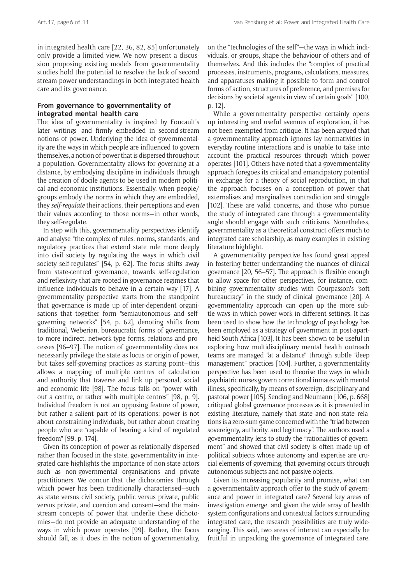in integrated health care [22, 36, 82, 85] unfortunately only provide a limited view. We now present a discussion proposing existing models from governmentality studies hold the potential to resolve the lack of second stream power understandings in both integrated health care and its governance.

## **From governance to governmentality of integrated mental health care**

The idea of governmentality is inspired by Foucault's later writings—and firmly embedded in second-stream notions of power. Underlying the idea of governmentality are the ways in which people are influenced to govern themselves, a notion of power that is dispersed throughout a population. Governmentality allows for governing at a distance, by embodying discipline in individuals through the creation of docile agents to be used in modern political and economic institutions. Essentially, when people/ groups embody the norms in which they are embedded, they *self-regulate* their actions, their perceptions and even their values according to those norms—in other words, they self-regulate.

In step with this, governmentality perspectives identify and analyse "the complex of rules, norms, standards, and regulatory practices that extend state rule more deeply into civil society by regulating the ways in which civil society self-regulates" [54, p. 62]. The focus shifts away from state-centred governance, towards self-regulation and reflexivity that are rooted in governance regimes that influence individuals to behave in a certain way [17]. A governmentality perspective starts from the standpoint that governance is made up of inter-dependent organisations that together form "semiautonomous and selfgoverning networks" [54, p. 62], denoting shifts from traditional, Weberian, bureaucratic forms of governance, to more indirect, network-type forms, relations and processes [96–97]. The notion of governmentality does not necessarily privilege the state as locus or origin of power, but takes self-governing practices as starting point—this allows a mapping of multiple centres of calculation and authority that traverse and link up personal, social and economic life [98]. The focus falls on "power without a centre, or rather with multiple centres" [98, p. 9]. Individual freedom is not an opposing feature of power, but rather a salient part of its operations; power is not about constraining individuals, but rather about creating people who are "capable of bearing a kind of regulated freedom" [99, p. 174].

Given its conception of power as relationally dispersed rather than focused in the state, governmentality in integrated care highlights the importance of non-state actors such as non-governmental organisations and private practitioners. We concur that the dichotomies through which power has been traditionally characterised—such as state versus civil society, public versus private, public versus private, and coercion and consent—and the mainstream concepts of power that underlie these dichotomies—do not provide an adequate understanding of the ways in which power operates [99]. Rather, the focus should fall, as it does in the notion of governmentality, on the "technologies of the self"—the ways in which individuals, or groups, shape the behaviour of others and of themselves. And this includes the "complex of practical processes, instruments, programs, calculations, measures, and apparatuses making it possible to form and control forms of action, structures of preference, and premises for decisions by societal agents in view of certain goals" [100, p. 12].

While a governmentality perspective certainly opens up interesting and useful avenues of exploration, it has not been exempted from critique. It has been argued that a governmentality approach ignores lay normativities in everyday routine interactions and is unable to take into account the practical resources through which power operates [101]. Others have noted that a governmentality approach foregoes its critical and emancipatory potential in exchange for a theory of social reproduction, in that the approach focuses on a conception of power that externalises and marginalises contradiction and struggle [102]. These are valid concerns, and those who pursue the study of integrated care through a governmentality angle should engage with such criticisms. Nonetheless, governmentality as a theoretical construct offers much to integrated care scholarship, as many examples in existing literature highlight.

A governmentality perspective has found great appeal in fostering better understanding the nuances of clinical governance [20, 56–57]. The approach is flexible enough to allow space for other perspectives, for instance, combining governmentality studies with Courpasson's "soft bureaucracy" in the study of clinical governance [20]. A governmentality approach can open up the more subtle ways in which power work in different settings. It has been used to show how the technology of psychology has been employed as a strategy of government in post-apartheid South Africa [103]. It has been shown to be useful in exploring how multidisciplinary mental health outreach teams are managed "at a distance" through subtle "deep management" practices [104]. Further, a governmentality perspective has been used to theorise the ways in which psychiatric nurses govern correctional inmates with mental illness, specifically, by means of sovereign, disciplinary and pastoral power [105]. Sending and Neumann [106, p. 668] critiqued global governance processes as it is presented in existing literature, namely that state and non-state relations is a zero-sum game concerned with the "triad between sovereignty, authority, and legitimacy". The authors used a governmentality lens to study the "rationalities of government" and showed that civil society is often made up of political subjects whose autonomy and expertise are crucial elements of governing, that governing occurs through autonomous subjects and not passive objects.

Given its increasing popularity and promise, what can a governmentality approach offer to the study of governance and power in integrated care? Several key areas of investigation emerge, and given the wide array of health system configurations and contextual factors surrounding integrated care, the research possibilities are truly wideranging. This said, two areas of interest can especially be fruitful in unpacking the governance of integrated care.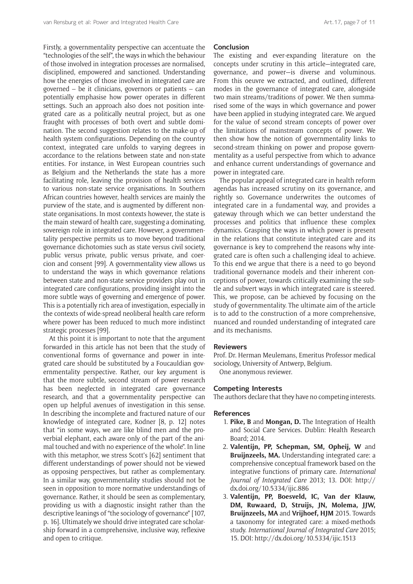Firstly, a governmentality perspective can accentuate the "technologies of the self", the ways in which the behaviour of those involved in integration processes are normalised, disciplined, empowered and sanctioned. Understanding how the energies of those involved in integrated care are governed – be it clinicians, governors or patients – can potentially emphasise how power operates in different settings. Such an approach also does not position integrated care as a politically neutral project, but as one fraught with processes of both overt and subtle domination. The second suggestion relates to the make-up of health system configurations. Depending on the country context, integrated care unfolds to varying degrees in accordance to the relations between state and non-state entities. For instance, in West European countries such as Belgium and the Netherlands the state has a more facilitating role, leaving the provision of health services to various non-state service organisations. In Southern African countries however, health services are mainly the purview of the state, and is augmented by different nonstate organisations. In most contexts however, the state is the main steward of health care, suggesting a dominating, sovereign role in integrated care. However, a governmentality perspective permits us to move beyond traditional governance dichotomies such as state versus civil society, public versus private, public versus private, and coercion and consent [99]. A governmentality view allows us to understand the ways in which governance relations between state and non-state service providers play out in integrated care configurations, providing insight into the more subtle ways of governing and emergence of power. This is a potentially rich area of investigation, especially in the contexts of wide-spread neoliberal health care reform where power has been reduced to much more indistinct strategic processes [99].

At this point it is important to note that the argument forwarded in this article has not been that the study of conventional forms of governance and power in integrated care should be substituted by a Foucauldian governmentality perspective. Rather, our key argument is that the more subtle, second stream of power research has been neglected in integrated care governance research, and that a governmentality perspective can open up helpful avenues of investigation in this sense. In describing the incomplete and fractured nature of our knowledge of integrated care, Kodner [8, p. 12] notes that "in some ways, we are like blind men and the proverbial elephant, each aware only of the part of the animal touched and with no experience of the whole". In line with this metaphor, we stress Scott's [62] sentiment that different understandings of power should not be viewed as opposing perspectives, but rather as complementary. In a similar way, governmentality studies should not be seen in opposition to more normative understandings of governance. Rather, it should be seen as complementary, providing us with a diagnostic insight rather than the descriptive leanings of "the sociology of governance" [107, p. 16]. Ultimately we should drive integrated care scholarship forward in a comprehensive, inclusive way, reflexive and open to critique.

## **Conclusion**

The existing and ever-expanding literature on the concepts under scrutiny in this article—integrated care, governance, and power—is diverse and voluminous. From this oeuvre we extracted, and outlined, different modes in the governance of integrated care, alongside two main streams/traditions of power. We then summarised some of the ways in which governance and power have been applied in studying integrated care. We argued for the value of second stream concepts of power over the limitations of mainstream concepts of power. We then show how the notion of governmentality links to second-stream thinking on power and propose governmentality as a useful perspective from which to advance and enhance current understandings of governance and power in integrated care.

The popular appeal of integrated care in health reform agendas has increased scrutiny on its governance, and rightly so. Governance underwrites the outcomes of integrated care in a fundamental way, and provides a gateway through which we can better understand the processes and politics that influence these complex dynamics. Grasping the ways in which power is present in the relations that constitute integrated care and its governance is key to comprehend the reasons why integrated care is often such a challenging ideal to achieve. To this end we argue that there is a need to go beyond traditional governance models and their inherent conceptions of power, towards critically examining the subtle and subvert ways in which integrated care is steered. This, we propose, can be achieved by focusing on the study of governmentality. The ultimate aim of the article is to add to the construction of a more comprehensive, nuanced and rounded understanding of integrated care and its mechanisms.

## **Reviewers**

Prof. Dr. Herman Meulemans, Emeritus Professor medical sociology, University of Antwerp, Belgium. One anonymous reviewer.

**Competing Interests**

The authors declare that they have no competing interests.

## **References**

- 1. **Pike, B** and **Mongan, D.** The Integration of Health and Social Care Services. Dublin: Health Research Board; 2014.
- 2. **Valentijn, PP, Schepman, SM, Opheij, W** and **Bruijnzeels, MA.** Understanding integrated care: a comprehensive conceptual framework based on the integrative functions of primary care. *International Journal of Integrated Care* 2013; 13. DOI: [http://](http://dx.doi.org/10.5334/ijic.886) [dx.doi.org/10.5334/ijic.886](http://dx.doi.org/10.5334/ijic.886)
- 3. **Valentijn, PP, Boesveld, IC, Van der Klauw, DM, Ruwaard, D, Struijs, JN, Molema, JJW, Bruijnzeels, MA** and **Vrijhoef, HJM** 2015. Towards a taxonomy for integrated care: a mixed-methods study. *International Journal of Integrated Care* 2015; 15. DOI:<http://dx.doi.org/10.5334/ijic.1513>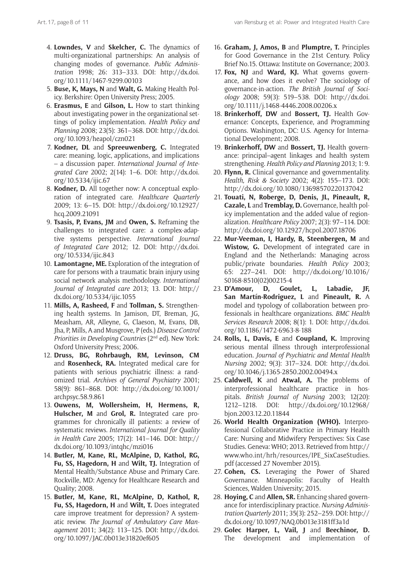- 4. **Lowndes, V** and **Skelcher, C.** The dynamics of multi-organizational partnerships: An analysis of changing modes of governance. *Public Administration* 1998; 26: 313–333. DOI: [http://dx.doi.](http://dx.doi.org/10.1111/1467-9299.00103) [org/10.1111/1467-9299.00103](http://dx.doi.org/10.1111/1467-9299.00103)
- 5. **Buse, K, Mays, N** and **Walt, G.** Making Health Policy. Berkshire: Open University Press; 2005.
- 6. **Erasmus, E** and **Gilson, L.** How to start thinking about investigating power in the organizational settings of policy implementation. *Health Policy and Planning* 2008; 23(5): 361–368. DOI: [http://dx.doi.](http://dx.doi.org/10.1093/heapol/czn021) [org/10.1093/heapol/czn021](http://dx.doi.org/10.1093/heapol/czn021)
- 7. **Kodner, DL** and **Spreeuwenberg, C.** Integrated care: meaning, logic, applications, and implications – a discussion paper. *International Journal of Integrated Care* 2002; 2(14): 1–6. DOI: [http://dx.doi.](http://dx.doi.org/10.5334/ijic.67) [org/10.5334/ijic.67](http://dx.doi.org/10.5334/ijic.67)
- 8. **Kodner, D.** All together now: A conceptual exploration of integrated care. *Healthcare Quarterly* 2009; 13: 6–15. DOI: [http://dx.doi.org/10.12927/](http://dx.doi.org/10.12927/hcq.2009.21091) [hcq.2009.21091](http://dx.doi.org/10.12927/hcq.2009.21091)
- 9. **Tsasis, P, Evans, JM** and **Owen, S.** Reframing the challenges to integrated care: a complex-adaptive systems perspective. *International Journal of Integrated Care* 2012; 12. DOI: [http://dx.doi.](http://dx.doi.org/10.5334/ijic.843) [org/10.5334/ijic.843](http://dx.doi.org/10.5334/ijic.843)
- 10. **Lamontagne, ME.** Exploration of the integration of care for persons with a traumatic brain injury using social network analysis methodology. *International Journal of Integrated care* 2013; 13. DOI: [http://](http://dx.doi.org/10.5334/ijic.1055) [dx.doi.org/10.5334/ijic.1055](http://dx.doi.org/10.5334/ijic.1055)
- 11. **Mills, A, Rasheed, F** and **Tollman, S.** Strengthening health systems. In Jamison, DT, Breman, JG, Measham, AR, Alleyne, G, Claeson, M, Evans, DB, Jha, P, Mills, A and Musgrove, P (eds.) *Disease Control Priorities in Developing Countries* (2nd ed). New York: Oxford University Press; 2006.
- 12. **Druss, BG, Rohrbaugh, RM, Levinson, CM**  and **Rosenheck, RA.** Integrated medical care for patients with serious psychiatric illness: a randomized trial. *Archives of General Psychiatry* 2001; 58(9): 861–868. DOI: [http://dx.doi.org/10.1001/](http://dx.doi.org/10.1001/archpsyc.58.9.861) [archpsyc.58.9.861](http://dx.doi.org/10.1001/archpsyc.58.9.861)
- 13. **Ouwens, M, Wollersheim, H, Hermens, R, Hulscher, M** and **Grol, R.** Integrated care programmes for chronically ill patients: a review of systematic reviews. *International Journal for Quality in Health Care* 2005; 17(2): 141–146. DOI: [http://](http://dx.doi.org/10.1093/intqhc/mzi016) [dx.doi.org/10.1093/intqhc/mzi016](http://dx.doi.org/10.1093/intqhc/mzi016)
- 14. **Butler, M, Kane, RL, McAlpine, D, Kathol, RG, Fu, SS, Hagedorn, H** and **Wilt, TJ.** Integration of Mental Health/Substance Abuse and Primary Care. Rockville, MD: Agency for Healthcare Research and Quality; 2008.
- 15. **Butler, M, Kane, RL, McAlpine, D, Kathol, R, Fu, SS, Hagedorn, H** and **Wilt, T.** Does integrated care improve treatment for depression? A systematic review. *The Journal of Ambulatory Care Management* 2011; 34(2): 113–125. DOI: [http://dx.doi.](http://dx.doi.org/10.1097/JAC.0b013e31820ef605) [org/10.1097/JAC.0b013e31820ef605](http://dx.doi.org/10.1097/JAC.0b013e31820ef605)
- 16. **Graham, J, Amos, B** and **Plumptre, T.** Principles for Good Governance in the 21st Century. Policy Brief No.15. Ottawa: Institute on Governance; 2003.
- 17. **Fox, NJ** and **Ward, KJ.** What governs governance, and how does it evolve? The sociology of governance-in-action. *The British Journal of Sociology* 2008; 59(3): 519–538. DOI: [http://dx.doi.](http://dx.doi.org/10.1111/j.1468-4446.2008.00206.x) [org/10.1111/j.1468-4446.2008.00206.x](http://dx.doi.org/10.1111/j.1468-4446.2008.00206.x)
- 18. **Brinkerhoff, DW** and **Bossert, TJ.** Health Governance: Concepts, Experience, and Programming Options. Washington, DC: U.S. Agency for International Development; 2008.
- 19. **Brinkerhoff, DW** and **Bossert, TJ.** Health governance: principal–agent linkages and health system strengthening. *Health Policy and Planning* 2013; 1: 9.
- 20. **Flynn, R.** Clinical governance and governmentality. *Health, Risk & Society* 2002; 4(2): 155–173. DOI: <http://dx.doi.org/10.1080/13698570220137042>
- 21. **Touati, N, Roberge, D, Denis, JL, Pineault, R, Cazale, L** and **Tremblay, D.** Governance, health policy implementation and the added value of regionalization. *Healthcare Policy* 2007; 2(3): 97–114. DOI: <http://dx.doi.org/10.12927/hcpol.2007.18706>
- 22. **Mur-Veeman, I, Hardy, B, Steenbergen, M** and **Wistow, G.** Development of integrated care in England and the Netherlands: Managing across public/private boundaries. *Health Policy* 2003; 65: 227–241. DOI: [http://dx.doi.org/10.1016/](http://dx.doi.org/10.1016/S0168-8510(02)00215-4) [S0168-8510\(02\)00215-4](http://dx.doi.org/10.1016/S0168-8510(02)00215-4)
- 23. **D'Amour, D, Goulet, L, Labadie, JF, San Martín-Rodriguez, L** and **Pineault, R.** A model and typology of collaboration between professionals in healthcare organizations. *BMC Health Services Research* 2008; 8(1): 1. DOI: [http://dx.doi.](http://dx.doi.org/10.1186/1472-6963-8-188) [org/10.1186/1472-6963-8-188](http://dx.doi.org/10.1186/1472-6963-8-188)
- 24. **Rolls, L, Davis, E** and **Coupland, K.** Improving serious mental illness through interprofessional education. *Journal of Psychiatric and Mental Health Nursing* 2002; 9(3): 317–324. DOI: [http://dx.doi.](http://dx.doi.org/10.1046/j.1365-2850.2002.00494.x) [org/10.1046/j.1365-2850.2002.00494.x](http://dx.doi.org/10.1046/j.1365-2850.2002.00494.x)
- 25. **Caldwell, K** and **Atwal, A.** The problems of interprofessional healthcare practice in hospitals. *British Journal of Nursing* 2003; 12(20): 1212–1218. DOI: [http://dx.doi.org/10.12968/](http://dx.doi.org/10.12968/bjon.2003.12.20.11844) [bjon.2003.12.20.11844](http://dx.doi.org/10.12968/bjon.2003.12.20.11844)
- 26. **World Health Organization (WHO).** Interprofessional Collaborative Practice in Primary Health Care: Nursing and Midwifery Perspectives: Six Case Studies. Geneva: WHO; 2013. Retrieved from [http://](http://www.who.int/hrh/resources/IPE_SixCaseStudies.pdf) [www.who.int/hrh/resources/IPE\\_SixCaseStudies.](http://www.who.int/hrh/resources/IPE_SixCaseStudies.pdf) [pdf](http://www.who.int/hrh/resources/IPE_SixCaseStudies.pdf) (accessed 27 November 2015).
- 27. **Cohen, CS.** Leveraging the Power of Shared Governance. Minneapolis: Faculty of Health Sciences, Walden University; 2015.
- 28. **Hoying, C** and **Allen, SR.** Enhancing shared governance for interdisciplinary practice. *Nursing Administration Quarterly* 2011; 35(3): 252–259. DOI: [http://](http://dx.doi.org/10.1097/NAQ.0b013e3181ff3a1d) [dx.doi.org/10.1097/NAQ.0b013e3181ff3a1d](http://dx.doi.org/10.1097/NAQ.0b013e3181ff3a1d)
- 29. **Golec Harper, L, Vail, J** and **Beechinor, D.** The development and implementation of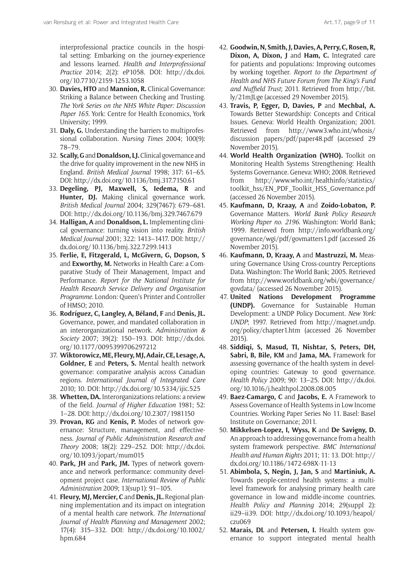interprofessional practice councils in the hospital setting: Embarking on the journey-experience and lessons learned. *Health and Interprofessional Practice* 2014; 2(2): eP1058. DOI: [http://dx.doi.](http://dx.doi.org/10.7710/2159-1253.1058) [org/10.7710/2159-1253.1058](http://dx.doi.org/10.7710/2159-1253.1058)

- 30. **Davies, HTO** and **Mannion, R.** Clinical Governance: Striking a Balance between Checking and Trusting. *The York Series on the NHS White Paper: Discussion Paper 165*. York: Centre for Health Economics, York University; 1999.
- 31. **Daly, G.** Understanding the barriers to multiprofessional collaboration. *Nursing Times* 2004; 100(9): 78–79.
- 32. **Scally, G** and **Donaldson, LJ.** Clinical governance and the drive for quality improvement in the new NHS in England. *British Medical Journal* 1998; 317: 61–65. DOI: <http://dx.doi.org/10.1136/bmj.317.7150.61>
- 33. **Degeling, PJ, Maxwell, S, Iedema, R** and Hunter, DJ. Making clinical governance work. *British Medical Journal* 2004; 329(7467): 679–681. DOI:<http://dx.doi.org/10.1136/bmj.329.7467.679>
- 34. **Halligan, A** and **Donaldson, L.** Implementing clinical governance: turning vision into reality. *British Medical Journal* 2001; 322: 1413–1417. DOI: [http://](http://dx.doi.org/10.1136/bmj.322.7299.1413) [dx.doi.org/10.1136/bmj.322.7299.1413](http://dx.doi.org/10.1136/bmj.322.7299.1413)
- 35. **Ferlie, E, Fitzgerald, L, McGivern, G, Dopson, S**  and **Exworthy, M.** Networks in Health Care: a Comparative Study of Their Management, Impact and Performance. *Report for the National Institute for Health Research Service Delivery and Organisation Programme*. London: Queen's Printer and Controller of HMSO; 2010.
- 36. **Rodríguez, C, Langley, A, Béland, F** and **Denis, JL.** Governance, power, and mandated collaboration in an interorganizational network. *Administration & Society* 2007; 39(2): 150–193. DOI: [http://dx.doi.](http://dx.doi.org/10.1177/0095399706297212) [org/10.1177/0095399706297212](http://dx.doi.org/10.1177/0095399706297212)
- 37. **Wiktorowicz, ME, Fleury, MJ, Adair, CE, Lesage, A, Goldner, E** and **Peters, S.** Mental health network governance: comparative analysis across Canadian regions. *International Journal of Integrated Care* 2010; 10. DOI: <http://dx.doi.org/10.5334/ijic.525>
- 38. **Whetten, DA.** Interorganizations relations: a review of the field. *Journal of Higher Education* 1981; 52: 1–28. DOI: <http://dx.doi.org/10.2307/1981150>
- 39. **Provan, KG** and **Kenis, P.** Modes of network governance: Structure, management, and effectiveness. *Journal of Public Administration Research and Theory* 2008; 18(2): 229–252. DOI: [http://dx.doi.](http://dx.doi.org/10.1093/jopart/mum015) [org/10.1093/jopart/mum015](http://dx.doi.org/10.1093/jopart/mum015)
- 40. **Park, JH** and **Park, JM.** Types of network governance and network performance: community development project case. *International Review of Public Administration* 2009; 13(sup1): 91–105.
- 41. **Fleury, MJ, Mercier, C** and **Denis, JL.** Regional planning implementation and its impact on integration of a mental health care network. *The International Journal of Health Planning and Management* 2002; 17(4): 315–332. DOI: [http://dx.doi.org/10.1002/](http://dx.doi.org/10.1002/hpm.684) [hpm.684](http://dx.doi.org/10.1002/hpm.684)
- 42. **Goodwin, N, Smith, J, Davies, A, Perry, C, Rosen, R, Dixon, A, Dixon, J** and **Ham, C.** Integrated care for patients and populations: Improving outcomes by working together. *Report to the Department of Health and NHS Future Forum from The King's Fund and Nuffield Trust*; 2011. Retrieved from [http://bit.](http://bit.ly/21mJLge) [ly/21mJLge](http://bit.ly/21mJLge) (accessed 29 November 2015).
- 43. **Travis, P, Egger, D, Davies, P** and **Mechbal, A.** Towards Better Stewardship: Concepts and Critical Issues. Geneva: World Health Organization; 2001. Retrieved from [http://www3.who.int/whosis/](http://www3.who.int/whosis/discussion papers/pdf/paper48.pdf) [discussion papers/pdf/paper48.pdf](http://www3.who.int/whosis/discussion papers/pdf/paper48.pdf) (accessed 29 November 2015).
- 44. **World Health Organization (WHO).** Toolkit on Monitoring Health Systems Strengthening: Health Systems Governance. Geneva: WHO; 2008. Retrieved from [http://www.who.int/healthinfo/statistics/](http://www.who.int/healthinfo/statistics/toolkit_hss/EN_PDF_Toolkit_HSS_Governance.pdf) [toolkit\\_hss/EN\\_PDF\\_Toolkit\\_HSS\\_Governance.pdf](http://www.who.int/healthinfo/statistics/toolkit_hss/EN_PDF_Toolkit_HSS_Governance.pdf) (accessed 26 November 2015).
- 45. **Kaufmann, D, Kraay, A** and **Zoido-Lobaton, P.** Governance Matters. *World Bank Policy Research Working Paper no. 2196*. Washington: World Bank; 1999. Retrieved from [http://info.worldbank.org/](http://info.worldbank.org/governance/wgi/pdf/govmatters1.pdf) [governance/wgi/pdf/govmatters1.pdf](http://info.worldbank.org/governance/wgi/pdf/govmatters1.pdf) (accessed 26 November 2015).
- 46. **Kaufmann, D, Kraay, A** and **Mastruzzi, M.** Measuring Governance Using Cross-country Perceptions Data. Washington: The World Bank; 2005. Retrieved from [http://www.worldbank.org/wbi/governance/](http://www.worldbank.org/wbi/governance/govdata/) [govdata/](http://www.worldbank.org/wbi/governance/govdata/) (accessed 26 November 2015).
- 47. **United Nations Development Programme (UNDP).** Governance for Sustainable Human Development: a UNDP Policy Document. *New York: UNDP*; 1997. Retrieved from [http://magnet.undp.](http://magnet.undp.org/policy/chapter1.htm) [org/policy/chapter1.htm](http://magnet.undp.org/policy/chapter1.htm) (accessed 26 November 2015).
- 48. **Siddiqi, S, Masud, TI, Nishtar, S, Peters, DH, Sabri, B, Bile, KM** and **Jama, MA.** Framework for assessing governance of the health system in developing countries: Gateway to good governance. *Health Policy* 2009; 90: 13–25. DOI: [http://dx.doi.](http://dx.doi.org/10.1016/j.healthpol.2008.08.005) [org/10.1016/j.healthpol.2008.08.005](http://dx.doi.org/10.1016/j.healthpol.2008.08.005)
- 49. **Baez-Camargo, C** and **Jacobs, E.** A Framework to Assess Governance of Health Systems in Low Income Countries. Working Paper Series No 11. Basel: Basel Institute on Governance; 2011.
- 50. **Mikkelsen-Lopez, I, Wyss, K** and **De Savigny, D.** An approach to addressing governance from a health system framework perspective. *BMC International Health and Human Rights* 2011; 11: 13. DOI: [http://](http://dx.doi.org/10.1186/1472-698X-11-13) [dx.doi.org/10.1186/1472-698X-11-13](http://dx.doi.org/10.1186/1472-698X-11-13)
- 51. **Abimbola, S, Negin, J, Jan, S** and **Martiniuk, A.** Towards people-centred health systems: a multilevel framework for analysing primary health care governance in low-and middle-income countries. *Health Policy and Planning* 2014; 29(suppl 2): ii29–ii39. DOI: [http://dx.doi.org/10.1093/heapol/](http://dx.doi.org/10.1093/heapol/czu069) [czu069](http://dx.doi.org/10.1093/heapol/czu069)
- 52. **Marais, DL** and **Petersen, I.** Health system governance to support integrated mental health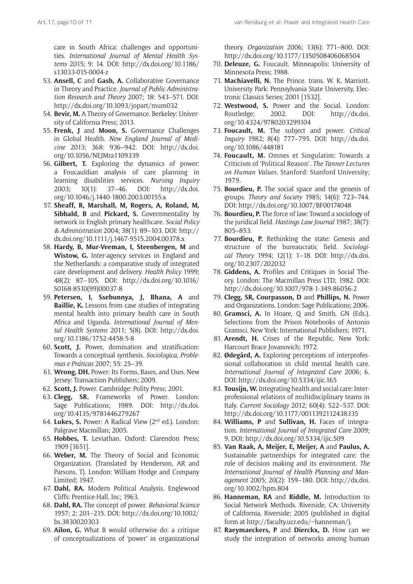care in South Africa: challenges and opportunities. *International Journal of Mental Health Systems* 2015; 9: 14. DOI: [http://dx.doi.org/10.1186/](http://dx.doi.org/10.1186/s13033-015-0004-z) [s13033-015-0004-z](http://dx.doi.org/10.1186/s13033-015-0004-z)

- 53. **Ansell, C** and **Gash, A.** Collaborative Governance in Theory and Practice. *Journal of Public Administration Research and Theory* 2007; 18: 543–571. DOI: <http://dx.doi.org/10.1093/jopart/mum032>
- 54. **Bevir, M.** A Theory of Governance. Berkeley: University of California Press; 2013.
- 55. **Frenk, J** and **Moon, S.** Governance Challenges in Global Health. *New England Journal of Medicine* 2013; 368: 936–942. DOI: [http://dx.doi.](http://dx.doi.org/10.1056/NEJMra1109339) [org/10.1056/NEJMra1109339](http://dx.doi.org/10.1056/NEJMra1109339)
- 56. **Gilbert, T.** Exploring the dynamics of power: a Foucauldian analysis of care planning in learning disabilities services. *Nursing Inquiry*  2003; 10(1): 37–46. DOI: [http://dx.doi.](http://dx.doi.org/10.1046/j.1440-1800.2003.00155.x) [org/10.1046/j.1440-1800.2003.00155.x](http://dx.doi.org/10.1046/j.1440-1800.2003.00155.x)
- 57. **Sheaff, R, Marshall, M, Rogers, A, Roland, M, Sibbald, B** and **Pickard, S.** Governmentality by network in English primary healthcare. *Social Policy & Administration* 2004; 38(1): 89–103. DOI: [http://](http://dx.doi.org/10.1111/j.1467-9515.2004.00378.x) [dx.doi.org/10.1111/j.1467-9515.2004.00378.x](http://dx.doi.org/10.1111/j.1467-9515.2004.00378.x)
- 58. **Hardy, B, Mur-Veeman, I, Steenbergen, M** and **Wistow, G.** Inter-agency services in England and the Netherlands: a comparative study of integrated care development and delivery. *Health Policy* 1999; 48(2): 87–105. DOI: [http://dx.doi.org/10.1016/](http://dx.doi.org/10.1016/S0168-8510(99)00037-8) [S0168-8510\(99\)00037-8](http://dx.doi.org/10.1016/S0168-8510(99)00037-8)
- 59. **Petersen, I, Ssebunnya, J, Bhana, A** and **Baillie, K.** Lessons from case studies of integrating mental health into primary health care in South Africa and Uganda. *International Journal of Mental Health Systems* 2011; 5(8). DOI: [http://dx.doi.](http://dx.doi.org/10.1186/1752-4458-5-8) [org/10.1186/1752-4458-5-8](http://dx.doi.org/10.1186/1752-4458-5-8)
- 60. **Scott, J.** Power, domination and stratification: Towards a conceptual synthesis. *Sociologica, Problemas e Práticas* 2007; 55: 25–39.
- 61. **Wrong, DH.** Power: Its Forms, Bases, and Uses. New Jersey: Transaction Publishers; 2009.
- 62. **Scott, J.** Power. Cambridge: Polity Press; 2001.
- 63. **Clegg, SR.** Frameworks of Power. London: Sage Publications; 1989. DOI: [http://dx.doi.](http://dx.doi.org/10.4135/9781446279267) [org/10.4135/9781446279267](http://dx.doi.org/10.4135/9781446279267)
- 64. **Lukes, S.** Power: A Radical View (2nd ed.). London: Palgrave Macmillan; 2005.
- 65. **Hobbes, T.** Leviathan. Oxford: Clarendon Press; 1909 [1651].
- 66. **Weber, M.** The Theory of Social and Economic Organization. (Translated by Henderson, AR and Parsons, T). London: William Hodge and Company Limited; 1947.
- 67. **Dahl, RA.** Modern Political Analysis. Englewood Cliffs: Prentice-Hall, Inc; 1963.
- 68. **Dahl, RA.** The concept of power. *Behavioral Science* 1957; 2: 201–215. DOI: [http://dx.doi.org/10.1002/](http://dx.doi.org/10.1002/bs.3830020303) [bs.3830020303](http://dx.doi.org/10.1002/bs.3830020303)
- 69. **Ailon, G.** What B would otherwise do: a critique of conceptualizations of 'power' in organizational

theory. *Organization* 2006; 13(6): 771–800. DOI: <http://dx.doi.org/10.1177/1350508406068504>

- 70. **Deleuze, G.** Foucault. Minneapolis: University of Minnesota Press; 1988.
- 71. **Machiavelli, N.** The Prince. trans. W. K. Marriott. University Park: Pennsylvania State University, Electronic Classics Series; 2001 [1532].
- 72. **Westwood, S.** Power and the Social. London: Routledge; 2002. DOI: [http://dx.doi.](http://dx.doi.org/10.4324/9780203299104) [org/10.4324/9780203299104](http://dx.doi.org/10.4324/9780203299104)
- 73. **Foucault, M.** The subject and power. *Critical Inquiry* 1982; 8(4): 777–795. DOI: [http://dx.doi.](http://dx.doi.org/10.1086/448181) [org/10.1086/448181](http://dx.doi.org/10.1086/448181)
- 74. **Foucault, M.** Omnes et Singulatim: Towards a Criticism of 'Political Reason'. *The Tanner Lectures on Human Values*. Stanford: Stanford University; 1979.
- 75. **Bourdieu, P.** The social space and the genesis of groups. *Theory and Society* 1985; 14(6): 723–744. DOI:<http://dx.doi.org/10.1007/BF00174048>
- 76. **Bourdieu, P.** The force of law: Toward a sociology of the juridical field. *Hastings Law Journal* 1987; 38(7): 805–853.
- 77. **Bourdieu, P.** Rethinking the state: Genesis and structure of the bureaucratic field. *Sociological Theory* 1994; 12(1): 1–18. DOI: [http://dx.doi.](http://dx.doi.org/10.2307/202032) [org/10.2307/202032](http://dx.doi.org/10.2307/202032)
- 78. **Giddens, A.** Profiles and Critiques in Social Theory. London: The Macmillan Press LTD; 1982. DOI: <http://dx.doi.org/10.1007/978-1-349-86056-2>
- 79. **Clegg, SR, Courpasson, D** and **Phillips, N.** Power and Organizations. London: Sage Publications; 2006.
- 80. **Gramsci, A.** In Hoare, Q and Smith, GN (Eds.). Selections from the Prison Notebooks of Antonio Gramsci. New York: International Publishers; 1971.
- 81. **Arendt, H.** Crises of the Republic. New York: Harcourt Brace Jovanovich; 1972.
- 82. **Ødegård, A.** Exploring perceptions of interprofessional collaboration in child mental health care. *International Journal of Integrated Care* 2006; 6. DOI:<http://dx.doi.org/10.5334/ijic.165>
- 83. **Tousijn, W.** Integrating health and social care: Interprofessional relations of multidisciplinary teams in Italy. *Current Sociology* 2012; 60(4): 522–537. DOI: <http://dx.doi.org/10.1177/0011392112438335>
- 84. **Williams, P** and **Sullivan, H.** Faces of integration. *International Journal of Integrated Care* 2009; 9. DOI: <http://dx.doi.org/10.5334/ijic.509>
- 85. **Van Raak, A, Meijer, E, Meijer, A** and **Paulus, A.** Sustainable partnerships for integrated care: the role of decision making and its environment. *The International Journal of Health Planning and Management* 2005; 20(2): 159–180. DOI: [http://dx.doi.](http://dx.doi.org/10.1002/hpm.804) [org/10.1002/hpm.804](http://dx.doi.org/10.1002/hpm.804)
- 86. **Hanneman, RA** and **Riddle, M.** Introduction to Social Network Methods. Riverside, CA: University of California, Riverside; 2005 (published in digital form at <http://faculty.ucr.edu/~hanneman/>).
- 87. **Raeymaeckers, P** and **Dierckx, D.** How can we study the integration of networks among human